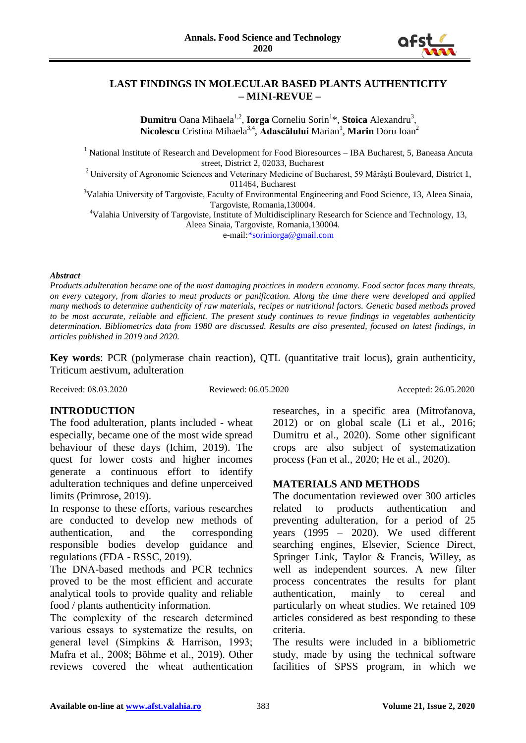

# **LAST FINDINGS IN MOLECULAR BASED PLANTS AUTHENTICITY – MINI-REVUE –**

**Dumitru** Oana Mihaela<sup>1,2</sup>, **Iorga** Corneliu Sorin<sup>1</sup>\*, **Stoica** Alexandru<sup>3</sup>, **Nicolescu** Cristina Mihaela<sup>3,4</sup>, **Adascălului** Marian<sup>1</sup>, **Marin** Doru Ioan<sup>2</sup>

<sup>1</sup> National Institute of Research and Development for Food Bioresources – IBA Bucharest, 5, Baneasa Ancuta street, District 2, 02033, Bucharest

<sup>2</sup> University of Agronomic Sciences and Veterinary Medicine of Bucharest, 59 Mărăști Boulevard, District 1, 011464, Bucharest

<sup>3</sup>Valahia University of Targoviste, Faculty of Environmental Engineering and Food Science, 13, Aleea Sinaia, Targoviste, Romania,130004.

<sup>4</sup>Valahia University of Targoviste, Institute of Multidisciplinary Research for Science and Technology, 13, Aleea Sinaia, Targoviste, Romania,130004.

e-mail[:\\*soriniorga@gmail.com](mailto:*soriniorga@gmail.com)

#### *Abstract*

*Products adulteration became one of the most damaging practices in modern economy. Food sector faces many threats, on every category, from diaries to meat products or panification. Along the time there were developed and applied many methods to determine authenticity of raw materials, recipes or nutritional factors. Genetic based methods proved to be most accurate, reliable and efficient. The present study continues to revue findings in vegetables authenticity determination. Bibliometrics data from 1980 are discussed. Results are also presented, focused on latest findings, in articles published in 2019 and 2020.* 

**Key words**: PCR (polymerase chain reaction), QTL (quantitative trait locus), grain authenticity, Triticum aestivum, adulteration

Received: 08.03.2020 Reviewed: 06.05.2020 Accepted: 26.05.2020

# **INTRODUCTION**

The food adulteration, plants included - wheat especially, became one of the most wide spread behaviour of these days (Ichim, 2019). The quest for lower costs and higher incomes generate a continuous effort to identify adulteration techniques and define unperceived limits (Primrose, 2019).

In response to these efforts, various researches are conducted to develop new methods of authentication, and the corresponding responsible bodies develop guidance and regulations (FDA - RSSC, 2019).

The DNA-based methods and PCR technics proved to be the most efficient and accurate analytical tools to provide quality and reliable food / plants authenticity information.

The complexity of the research determined various essays to systematize the results, on general level (Simpkins & Harrison, 1993; Mafra et al., 2008; Böhme et al., 2019). Other reviews covered the wheat authentication researches, in a specific area (Mitrofanova, 2012) or on global scale (Li et al., 2016; Dumitru et al., 2020). Some other significant crops are also subject of systematization process (Fan et al., 2020; He et al., 2020).

## **MATERIALS AND METHODS**

The documentation reviewed over 300 articles related to products authentication and preventing adulteration, for a period of 25 years (1995 – 2020). We used different searching engines, Elsevier, Science Direct, Springer Link, Taylor & Francis, Willey, as well as independent sources. A new filter process concentrates the results for plant authentication, mainly to cereal and particularly on wheat studies. We retained 109 articles considered as best responding to these criteria.

The results were included in a bibliometric study, made by using the technical software facilities of SPSS program, in which we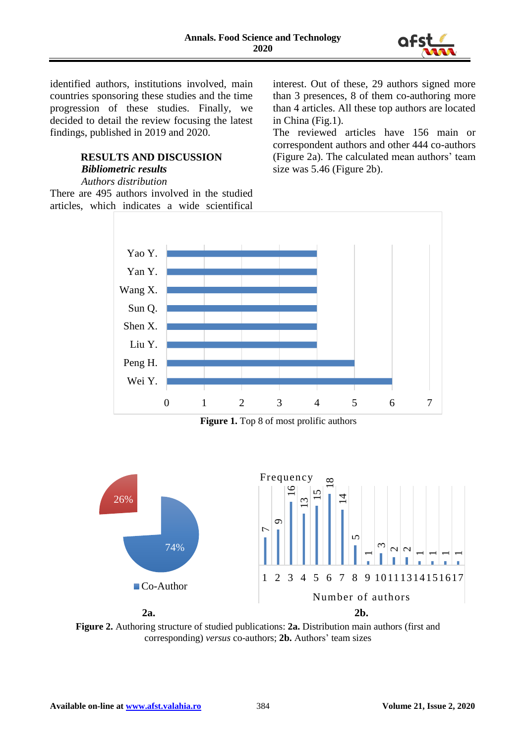

identified authors, institutions involved, main countries sponsoring these studies and the time progression of these studies. Finally, we decided to detail the review focusing the latest findings, published in 2019 and 2020.

# **RESULTS AND DISCUSSION** *Bibliometric results*

#### *Authors distribution*

There are 495 authors involved in the studied articles, which indicates a wide scientifical interest. Out of these, 29 authors signed more than 3 presences, 8 of them co-authoring more than 4 articles. All these top authors are located in China (Fig.1).

The reviewed articles have 156 main or correspondent authors and other 444 co-authors (Figure 2a). The calculated mean authors' team size was 5.46 (Figure 2b).



**Figure 1.** Top 8 of most prolific authors



**Figure 2.** Authoring structure of studied publications: **2a.** Distribution main authors (first and corresponding) *versus* co-authors; **2b.** Authors' team sizes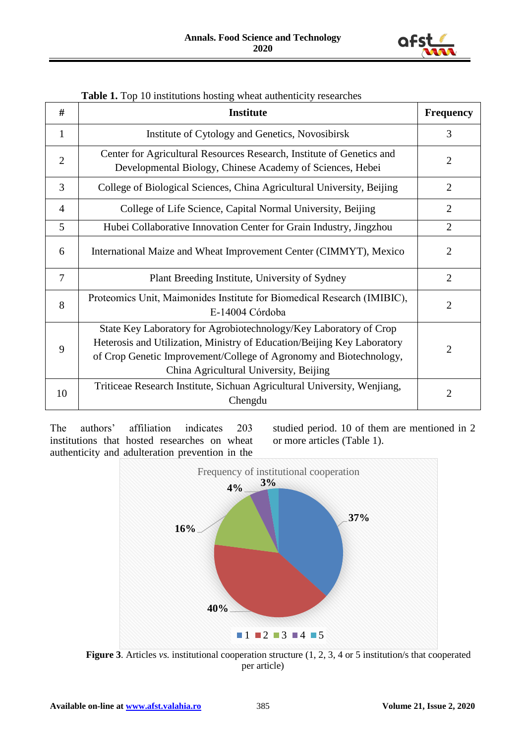

| #              | <b>Institute</b>                                                                                                                                                                                                                                             | <b>Frequency</b> |
|----------------|--------------------------------------------------------------------------------------------------------------------------------------------------------------------------------------------------------------------------------------------------------------|------------------|
| $\mathbf{1}$   | Institute of Cytology and Genetics, Novosibirsk                                                                                                                                                                                                              | 3                |
| $\overline{2}$ | Center for Agricultural Resources Research, Institute of Genetics and<br>Developmental Biology, Chinese Academy of Sciences, Hebei                                                                                                                           | $\overline{2}$   |
| 3              | College of Biological Sciences, China Agricultural University, Beijing                                                                                                                                                                                       |                  |
| $\overline{4}$ | College of Life Science, Capital Normal University, Beijing                                                                                                                                                                                                  |                  |
| 5              | Hubei Collaborative Innovation Center for Grain Industry, Jingzhou                                                                                                                                                                                           | $\overline{2}$   |
| 6              | International Maize and Wheat Improvement Center (CIMMYT), Mexico                                                                                                                                                                                            |                  |
| $\overline{7}$ | Plant Breeding Institute, University of Sydney                                                                                                                                                                                                               |                  |
| 8              | Proteomics Unit, Maimonides Institute for Biomedical Research (IMIBIC),<br>E-14004 Córdoba                                                                                                                                                                   |                  |
| 9              | State Key Laboratory for Agrobiotechnology/Key Laboratory of Crop<br>Heterosis and Utilization, Ministry of Education/Beijing Key Laboratory<br>of Crop Genetic Improvement/College of Agronomy and Biotechnology,<br>China Agricultural University, Beijing |                  |
| 10             | Triticeae Research Institute, Sichuan Agricultural University, Wenjiang,<br>Chengdu                                                                                                                                                                          | $\overline{2}$   |

|  | Table 1. Top 10 institutions hosting wheat authenticity researches |  |  |  |
|--|--------------------------------------------------------------------|--|--|--|
|--|--------------------------------------------------------------------|--|--|--|

The authors' affiliation indicates 203 institutions that hosted researches on wheat authenticity and adulteration prevention in the studied period. 10 of them are mentioned in 2 or more articles (Table 1).



**Figure 3**. Articles *vs.* institutional cooperation structure (1, 2, 3, 4 or 5 institution/s that cooperated per article)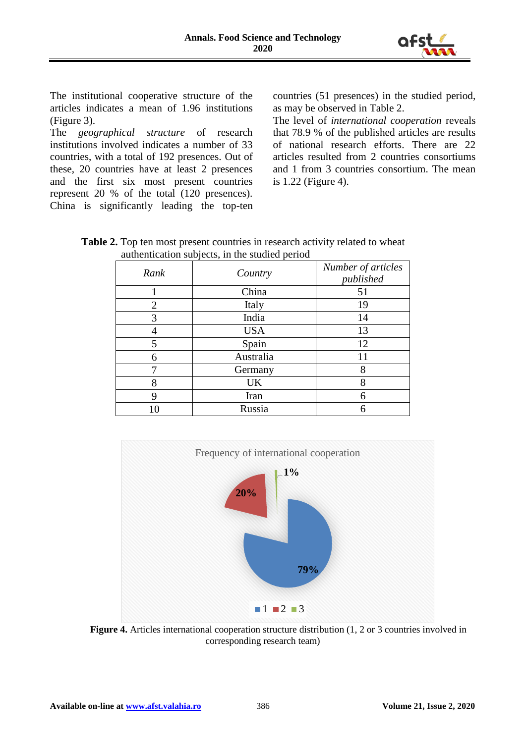

The institutional cooperative structure of the articles indicates a mean of 1.96 institutions (Figure 3).

The *geographical structure* of research institutions involved indicates a number of 33 countries, with a total of 192 presences. Out of these, 20 countries have at least 2 presences and the first six most present countries represent 20 % of the total (120 presences). China is significantly leading the top-ten countries (51 presences) in the studied period, as may be observed in Table 2.

The level of *international cooperation* reveals that 78.9 % of the published articles are results of national research efforts. There are 22 articles resulted from 2 countries consortiums and 1 from 3 countries consortium. The mean is 1.22 (Figure 4).

| <b>Table 2.</b> Top ten most present countries in research activity related to wheat |  |
|--------------------------------------------------------------------------------------|--|
| authentication subjects, in the studied period                                       |  |

|      | ◡          |                                 |
|------|------------|---------------------------------|
| Rank | Country    | Number of articles<br>published |
|      | China      | 51                              |
| 2    | Italy      | 19                              |
| 3    | India      | 14                              |
|      | <b>USA</b> | 13                              |
| 5    | Spain      | 12                              |
| 6    | Australia  | 11                              |
|      | Germany    | 8                               |
| 8    | UK         | 8                               |
| 9    | Iran       | 6                               |
|      | Russia     | 6                               |



**Figure 4.** Articles international cooperation structure distribution (1, 2 or 3 countries involved in corresponding research team)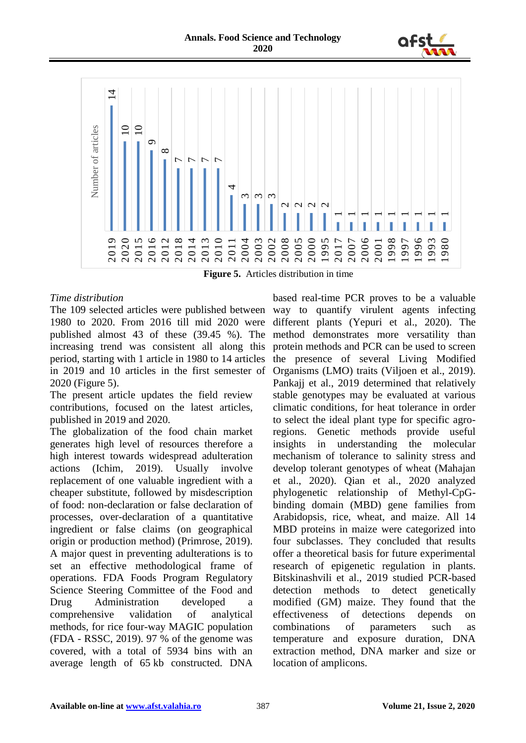



**Figure 5.** Articles distribution in time

## *Time distribution*

The 109 selected articles were published between 1980 to 2020. From 2016 till mid 2020 were published almost 43 of these (39.45 %). The increasing trend was consistent all along this period, starting with 1 article in 1980 to 14 articles in 2019 and 10 articles in the first semester of 2020 (Figure 5).

The present article updates the field review contributions, focused on the latest articles, published in 2019 and 2020.

The globalization of the food chain market generates high level of resources therefore a high interest towards widespread adulteration actions (Ichim, 2019). Usually involve replacement of one valuable ingredient with a cheaper substitute, followed by misdescription of food: non-declaration or false declaration of processes, over-declaration of a quantitative ingredient or false claims (on geographical origin or production method) (Primrose, 2019). A major quest in preventing adulterations is to set an effective methodological frame of operations. FDA Foods Program Regulatory Science Steering Committee of the Food and Drug Administration developed a comprehensive validation of analytical methods, for rice four-way MAGIC population (FDA - RSSC, 2019). 97 % of the genome was covered, with a total of 5934 bins with an average length of 65 kb constructed. DNA

based real-time PCR proves to be a valuable way to quantify virulent agents infecting different plants (Yepuri et al., 2020). The method demonstrates more versatility than protein methods and PCR can be used to screen the presence of several Living Modified Organisms (LMO) traits (Viljoen et al., 2019). Pankajj et al., 2019 determined that relatively stable genotypes may be evaluated at various climatic conditions, for heat tolerance in order to select the ideal plant type for specific agroregions. Genetic methods provide useful insights in understanding the molecular mechanism of tolerance to salinity stress and develop tolerant genotypes of wheat (Mahajan et al., 2020). Qian et al., 2020 analyzed phylogenetic relationship of Methyl-CpGbinding domain (MBD) gene families from Arabidopsis, rice, wheat, and maize. All 14 MBD proteins in maize were categorized into four subclasses. They concluded that results offer a theoretical basis for future experimental research of epigenetic regulation in plants. Bitskinashvili et al., 2019 studied PCR-based detection methods to detect genetically modified (GM) maize. They found that the effectiveness of detections depends on combinations of parameters such as temperature and exposure duration, DNA extraction method, DNA marker and size or location of amplicons.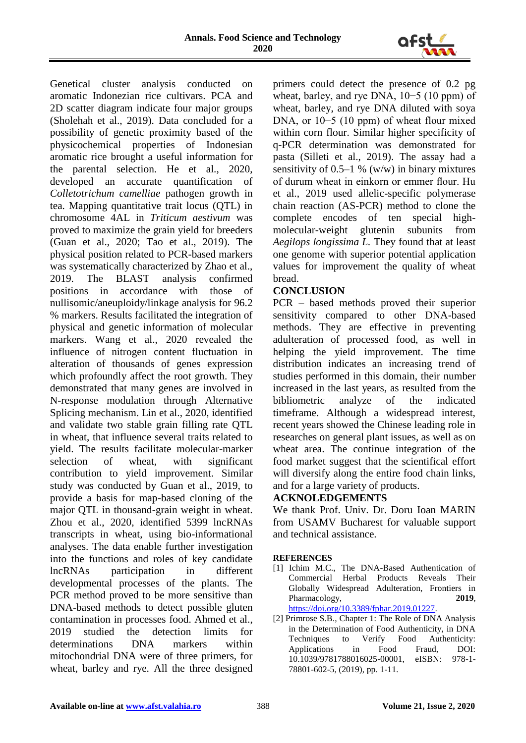

Genetical cluster analysis conducted on aromatic Indonezian rice cultivars. PCA and 2D scatter diagram indicate four major groups (Sholehah et al., 2019). Data concluded for a possibility of genetic proximity based of the physicochemical properties of Indonesian aromatic rice brought a useful information for the parental selection. He et al., 2020, developed an accurate quantification of *Colletotrichum camelliae* pathogen growth in tea. Mapping quantitative trait locus (QTL) in chromosome 4AL in *Triticum aestivum* was proved to maximize the grain yield for breeders (Guan et al., 2020; Tao et al., 2019). The physical position related to PCR-based markers was systematically characterized by Zhao et al., 2019. The BLAST analysis confirmed positions in accordance with those of nullisomic/aneuploidy/linkage analysis for 96.2 % markers. Results facilitated the integration of physical and genetic information of molecular markers. Wang et al., 2020 revealed the influence of nitrogen content fluctuation in alteration of thousands of genes expression which profoundly affect the root growth. They demonstrated that many genes are involved in N-response modulation through Alternative Splicing mechanism. Lin et al., 2020, identified and validate two stable grain filling rate QTL in wheat, that influence several traits related to yield. The results facilitate molecular-marker selection of wheat, with significant contribution to yield improvement. Similar study was conducted by Guan et al., 2019, to provide a basis for map-based cloning of the major QTL in thousand-grain weight in wheat. Zhou et al., 2020, identified 5399 lncRNAs transcripts in wheat, using bio-informational analyses. The data enable further investigation into the functions and roles of key candidate lncRNAs participation in different developmental processes of the plants. The PCR method proved to be more sensitive than DNA-based methods to detect possible gluten contamination in processes food. Ahmed et al., 2019 studied the detection limits for determinations DNA markers within mitochondrial DNA were of three primers, for wheat, barley and rye. All the three designed

primers could detect the presence of 0.2 pg wheat, barley, and rye DNA, 10−5 (10 ppm) of wheat, barley, and rye DNA diluted with soya DNA, or 10−5 (10 ppm) of wheat flour mixed within corn flour. Similar higher specificity of q-PCR determination was demonstrated for pasta (Silleti et al., 2019). The assay had a sensitivity of  $0.5-1$  % (w/w) in binary mixtures of durum wheat in einkorn or emmer flour. Hu et al., 2019 used allelic-specific polymerase chain reaction (AS-PCR) method to clone the complete encodes of ten special highmolecular-weight glutenin subunits from *Aegilops longissima L.* They found that at least one genome with superior potential application values for improvement the quality of wheat bread.

# **CONCLUSION**

PCR – based methods proved their superior sensitivity compared to other DNA-based methods. They are effective in preventing adulteration of processed food, as well in helping the yield improvement. The time distribution indicates an increasing trend of studies performed in this domain, their number increased in the last years, as resulted from the bibliometric analyze of the indicated timeframe. Although a widespread interest, recent years showed the Chinese leading role in researches on general plant issues, as well as on wheat area. The continue integration of the food market suggest that the scientifical effort will diversify along the entire food chain links, and for a large variety of products.

## **ACKNOLEDGEMENTS**

We thank Prof. Univ. Dr. Doru Ioan MARIN from USAMV Bucharest for valuable support and technical assistance.

## **REFERENCES**

- [1] Ichim M.C., The DNA-Based Authentication of Commercial Herbal Products Reveals Their Globally Widespread Adulteration, Frontiers in Pharmacology, **2019**, [https://doi.org/10.3389/fphar.2019.01227.](https://doi.org/10.3389/fphar.2019.01227)
- [2] Primrose S.B., Chapter 1: The Role of DNA Analysis in the Determination of Food Authenticity, in DNA Techniques to Verify Food Authenticity: Applications in Food Fraud, DOI: 10.1039/9781788016025-00001, eISBN: 978-1- 78801-602-5, (2019), pp. 1-11.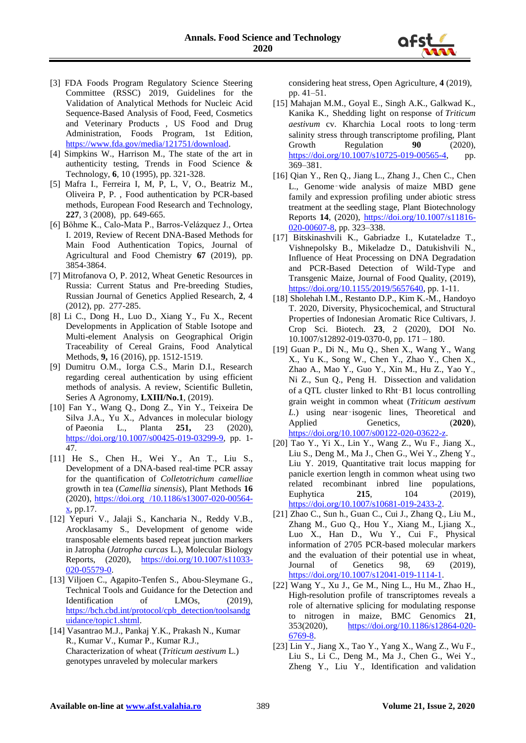

- [3] FDA Foods Program Regulatory Science Steering Committee (RSSC) 2019, Guidelines for the Validation of Analytical Methods for Nucleic Acid Sequence-Based Analysis of Food, Feed, Cosmetics and Veterinary Products , US Food and Drug Administration, Foods Program, 1st Edition, [https://www.fda.gov/media/121751/download.](https://www.fda.gov/media/121751/download)
- [4] Simpkins W., Harrison M., The state of the art in authenticity testing, Trends in Food Science & Technology, **6**, 10 (1995), pp. 321-328.
- [5] Mafra I., Ferreira I, M, P, L, V, O., Beatriz M., Oliveira P, P. , Food authentication by PCR-based methods, European Food Research and Technology, **227**, 3 (2008), pp. 649-665.
- [6] Böhme K., Calo-Mata P., Barros-Velázquez J., Ortea I. 2019, Review of Recent DNA-Based Methods for Main Food Authentication Topics, Journal of Agricultural and Food Chemistry **67** (2019), pp. 3854-3864.
- [7] Mitrofanova O, P. 2012, Wheat Genetic Resources in Russia: Current Status and Pre-breeding Studies, Russian Journal of Genetics Applied Research, **2**, 4 (2012), pp. 277-285.
- [8] Li C., Dong H., Luo D., Xiang Y., Fu X., Recent Developments in Application of Stable Isotope and Multi-element Analysis on Geographical Origin Traceability of Cereal Grains, Food Analytical Methods, **9,** 16 (2016), pp. 1512-1519.
- [9] Dumitru O.M., Iorga C.S., Marin D.I., Research regarding cereal authentication by using efficient methods of analysis. A review, Scientific Bulletin, Series A Agronomy, **LXIII/No.1**, (2019).
- [10] Fan Y., Wang Q., Dong Z., Yin Y., Teixeira De Silva J.A., Yu X., Advances in molecular biology of Paeonia L., Planta **251,** 23 (2020), [https://doi.org/10.1007/s00425-019-03299-9,](https://doi.org/10.1007/s00425-019-03299-9) pp. 1- 47.
- [11] He S., Chen H., Wei Y., An T., Liu S., Development of a DNA-based real-time PCR assay for the quantification of *Colletotrichum camelliae* growth in tea (*Camellia sinensis*), Plant Methods **16** (2020), https://doi.org /10.1186/s13007-020-00564-  $\mathbf{x}$ , pp.17.
- [12] Yepuri V., Jalaji S., Kancharia N., Reddy V.B., Arocklasamy S., Development of genome wide transposable elements based repeat junction markers in Jatropha (*Jatropha curcas* L.), Molecular Biology Reports, (2020), [https://doi.org/10.1007/s11033-](https://doi.org/10.1007/s11033-020-05579-0) [020-05579-0.](https://doi.org/10.1007/s11033-020-05579-0)
- [13] Viljoen C., Agapito-Tenfen S., Abou-Sleymane G., Technical Tools and Guidance for the Detection and Identification of LMOs, (2019), [https://bch.cbd.int/protocol/cpb\\_detection/toolsandg](https://bch.cbd.int/protocol/cpb_detection/toolsandguidance/topic1.shtml) [uidance/topic1.shtml.](https://bch.cbd.int/protocol/cpb_detection/toolsandguidance/topic1.shtml)
- [14] Vasantrao M.J., Pankaj Y.K., Prakash N., Kumar R., Kumar V., Kumar P., Kumar R.J., Characterization of wheat (*Triticum aestivum* L.) genotypes unraveled by molecular markers

considering heat stress, Open Agriculture, **4** (2019), pp. 41–51.

- [15] Mahajan M.M., Goyal E., Singh A.K., Galkwad K., Kanika K., Shedding light on response of *Triticum aestivum* cv. Kharchia Local roots to long‑term salinity stress through transcriptome profiling, Plant Growth Regulation 90 (2020), [https://doi.org/10.1007/s10725-019-00565-4,](https://doi.org/10.1007/s10725-019-00565-4) pp. 369–381.
- [16] Qian Y., Ren Q., Jiang L., Zhang J., Chen C., Chen L., Genome‑wide analysis of maize MBD gene family and expression profiling under abiotic stress treatment at the seedling stage, Plant Biotechnology Reports **14**, (2020), [https://doi.org/10.1007/s11816-](https://doi.org/10.1007/s11816-020-00607-8) [020-00607-8,](https://doi.org/10.1007/s11816-020-00607-8) pp. 323-338.
- [17] Bitskinashvili K., Gabriadze I., Kutateladze T., Vishnepolsky B., Mikeladze D., Datukishvili N., Influence of Heat Processing on DNA Degradation and PCR-Based Detection of Wild-Type and Transgenic Maize, Journal of Food Quality, (2019), [https://doi.org/10.1155/2019/5657640,](https://doi.org/10.1155/2019/5657640) pp. 1-11.
- [18] Sholehah I.M., Restanto D.P., Kim K.-M., Handoyo T. 2020, Diversity, Physicochemical, and Structural Properties of Indonesian Aromatic Rice Cultivars, J. Crop Sci. Biotech. **23**, 2 (2020), DOI No. 10.1007/s12892-019-0370-0, pp. 171 – 180.
- [19] Guan P., Di N., Mu Q., Shen X., Wang Y., Wang X., Yu K., Song W., Chen Y., Zhao Y., Chen X., Zhao A., Mao Y., Guo Y., Xin M., Hu Z., Yao Y., Ni Z., Sun Q., Peng H. Dissection and validation of a QTL cluster linked to Rht‑B1 locus controlling grain weight in common wheat (*Triticum aestivum L.*) using near‑isogenic lines, Theoretical and Applied Genetics,  $(2020)$ , [https://doi.org/10.1007/s00122-020-03622-z.](https://doi.org/10.1007/s00122-020-03622-z)
- [20] Tao Y., Yi X., Lin Y., Wang Z., Wu F., Jiang X., Liu S., Deng M., Ma J., Chen G., Wei Y., Zheng Y., Liu Y. 2019, Quantitative trait locus mapping for panicle exertion length in common wheat using two related recombinant inbred line populations, Euphytica **215**, 104 (2019), [https://doi.org/10.1007/s10681-019-2433-2.](https://doi.org/10.1007/s10681-019-2433-2)
- [21] Zhao C., Sun h., Guan C., Cui J., Zhang Q., Liu M., Zhang M., Guo Q., Hou Y., Xiang M., Ljiang X., Luo X., Han D., Wu Y., Cui F., Physical information of 2705 PCR-based molecular markers and the evaluation of their potential use in wheat, Journal of Genetics 98, 69 (2019), [https://doi.org/10.1007/s12041-019-1114-1.](https://doi.org/10.1007/s12041-019-1114-1)
- [22] Wang Y., Xu J., Ge M., Ning L., Hu M., Zhao H., High-resolution profile of transcriptomes reveals a role of alternative splicing for modulating response to nitrogen in maize, BMC Genomics **21**, 353(2020), [https://doi.org/10.1186/s12864-020-](https://doi.org/10.1186/s12864-020-6769-8) [6769-8.](https://doi.org/10.1186/s12864-020-6769-8)
- [23] Lin Y., Jiang X., Tao Y., Yang X., Wang Z., Wu F., Liu S., Li C., Deng M., Ma J., Chen G., Wei Y., Zheng Y., Liu Y., Identification and validation